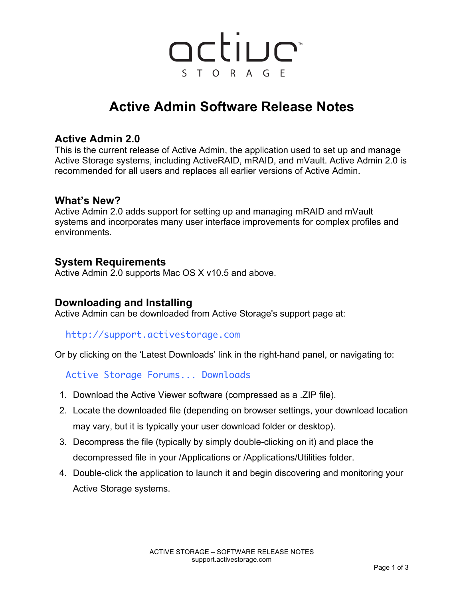# active STORAGE TM

## **Active Admin Software Release Notes**

## **Active Admin 2.0**

This is the current release of Active Admin, the application used to set up and manage Active Storage systems, including ActiveRAID, mRAID, and mVault. Active Admin 2.0 is recommended for all users and replaces all earlier versions of Active Admin.

#### **What's New?**

Active Admin 2.0 adds support for setting up and managing mRAID and mVault systems and incorporates many user interface improvements for complex profiles and environments.

### **System Requirements**

Active Admin 2.0 supports Mac OS X v10.5 and above.

## **Downloading and Installing**

Active Admin can be downloaded from Active Storage's support page at:

#### http://support.activestorage.com

Or by clicking on the 'Latest Downloads' link in the right-hand panel, or navigating to:

Active Storage Forums... Downloads

- 1. Download the Active Viewer software (compressed as a .ZIP file).
- 2. Locate the downloaded file (depending on browser settings, your download location may vary, but it is typically your user download folder or desktop).
- 3. Decompress the file (typically by simply double-clicking on it) and place the decompressed file in your /Applications or /Applications/Utilities folder.
- 4. Double-click the application to launch it and begin discovering and monitoring your Active Storage systems.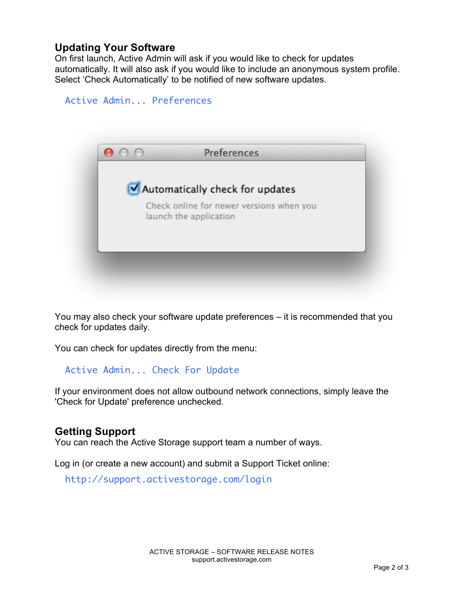## **Updating Your Software**

Active Admin... Preferences

On first launch, Active Admin will ask if you would like to check for updates automatically. It will also ask if you would like to include an anonymous system profile. Select 'Check Automatically' to be notified of new software updates.



You may also check your software update preferences – it is recommended that you check for updates daily.

You can check for updates directly from the menu:

Active Admin... Check For Update

If your environment does not allow outbound network connections, simply leave the 'Check for Update' preference unchecked.

## **Getting Support**

You can reach the Active Storage support team a number of ways.

Log in (or create a new account) and submit a Support Ticket online:

http://support.activestorage.com/login